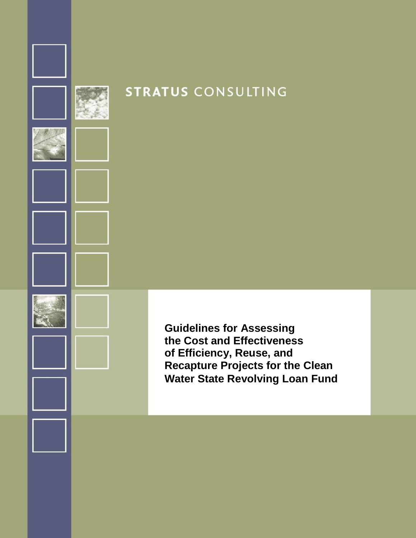

# **STRATUS CONSULTING**

**Guidelines for Assessing the Cost and Effectiveness of Efficiency, Reuse, and Recapture Projects for the Clean Water State Revolving Loan Fund**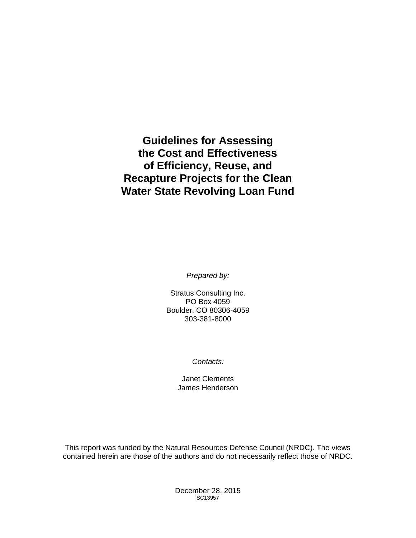## **Guidelines for Assessing the Cost and Effectiveness of Efficiency, Reuse, and Recapture Projects for the Clean Water State Revolving Loan Fund**

*Prepared by:*

Stratus Consulting Inc. PO Box 4059 Boulder, CO 80306-4059 303-381-8000

*Contacts:*

Janet Clements James Henderson

This report was funded by the Natural Resources Defense Council (NRDC). The views contained herein are those of the authors and do not necessarily reflect those of NRDC.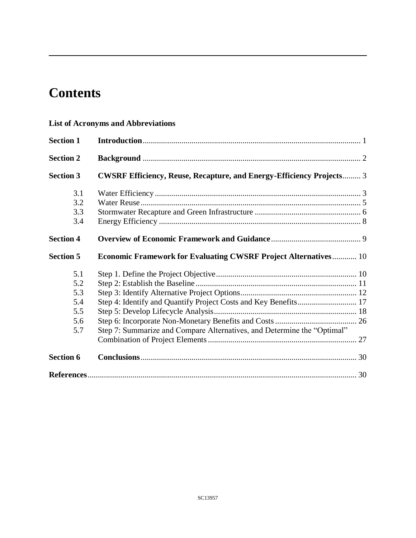# **Contents**

#### **List of Acronyms and Abbreviations**

| <b>Section 1</b> |                                                                             |  |
|------------------|-----------------------------------------------------------------------------|--|
| <b>Section 2</b> |                                                                             |  |
| <b>Section 3</b> | <b>CWSRF Efficiency, Reuse, Recapture, and Energy-Efficiency Projects</b> 3 |  |
| 3.1              |                                                                             |  |
| 3.2              |                                                                             |  |
| 3.3              |                                                                             |  |
| 3.4              |                                                                             |  |
| <b>Section 4</b> |                                                                             |  |
| <b>Section 5</b> | <b>Economic Framework for Evaluating CWSRF Project Alternatives 10</b>      |  |
| 5.1              |                                                                             |  |
| 5.2              |                                                                             |  |
| 5.3              |                                                                             |  |
| 5.4              |                                                                             |  |
| 5.5              |                                                                             |  |
| 5.6              |                                                                             |  |
| 5.7              | Step 7: Summarize and Compare Alternatives, and Determine the "Optimal"     |  |
|                  |                                                                             |  |
| <b>Section 6</b> |                                                                             |  |
|                  |                                                                             |  |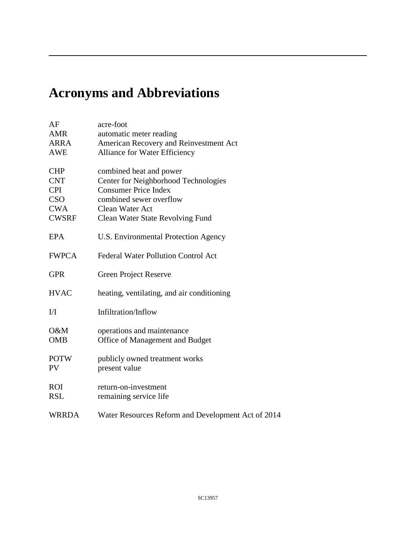# **Acronyms and Abbreviations**

| AF             | acre-foot                                          |
|----------------|----------------------------------------------------|
| <b>AMR</b>     | automatic meter reading                            |
| <b>ARRA</b>    | American Recovery and Reinvestment Act             |
| <b>AWE</b>     | Alliance for Water Efficiency                      |
|                |                                                    |
| <b>CHP</b>     | combined heat and power                            |
| <b>CNT</b>     | Center for Neighborhood Technologies               |
| <b>CPI</b>     | <b>Consumer Price Index</b>                        |
| <b>CSO</b>     | combined sewer overflow                            |
| <b>CWA</b>     | Clean Water Act                                    |
| <b>CWSRF</b>   | <b>Clean Water State Revolving Fund</b>            |
|                |                                                    |
| <b>EPA</b>     | U.S. Environmental Protection Agency               |
| <b>FWPCA</b>   | <b>Federal Water Pollution Control Act</b>         |
|                |                                                    |
| <b>GPR</b>     | <b>Green Project Reserve</b>                       |
|                |                                                    |
| <b>HVAC</b>    | heating, ventilating, and air conditioning         |
|                |                                                    |
| $\overline{M}$ | Infiltration/Inflow                                |
|                |                                                    |
| O&M            | operations and maintenance                         |
| <b>OMB</b>     | Office of Management and Budget                    |
|                |                                                    |
| <b>POTW</b>    | publicly owned treatment works                     |
| <b>PV</b>      | present value                                      |
| <b>ROI</b>     | return-on-investment                               |
| <b>RSL</b>     | remaining service life                             |
|                |                                                    |
| <b>WRRDA</b>   | Water Resources Reform and Development Act of 2014 |
|                |                                                    |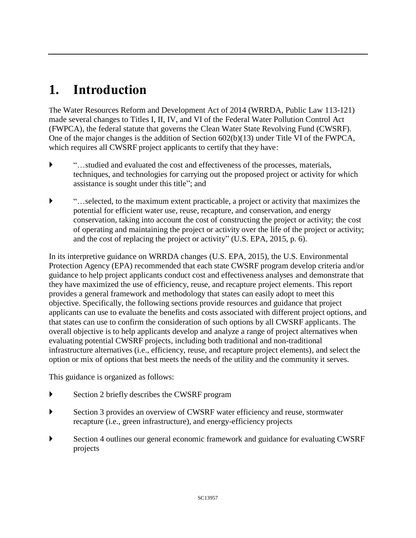# **1. Introduction**

The Water Resources Reform and Development Act of 2014 (WRRDA, Public Law 113-121) made several changes to Titles I, II, IV, and VI of the Federal Water Pollution Control Act (FWPCA), the federal statute that governs the Clean Water State Revolving Fund (CWSRF). One of the major changes is the addition of Section 602(b)(13) under Title VI of the FWPCA, which requires all CWSRF project applicants to certify that they have:

- "…studied and evaluated the cost and effectiveness of the processes, materials, techniques, and technologies for carrying out the proposed project or activity for which assistance is sought under this title"; and
- "…selected, to the maximum extent practicable, a project or activity that maximizes the potential for efficient water use, reuse, recapture, and conservation, and energy conservation, taking into account the cost of constructing the project or activity; the cost of operating and maintaining the project or activity over the life of the project or activity; and the cost of replacing the project or activity" (U.S. EPA, 2015, p. 6).

In its interpretive guidance on WRRDA changes (U.S. EPA, 2015), the U.S. Environmental Protection Agency (EPA) recommended that each state CWSRF program develop criteria and/or guidance to help project applicants conduct cost and effectiveness analyses and demonstrate that they have maximized the use of efficiency, reuse, and recapture project elements. This report provides a general framework and methodology that states can easily adopt to meet this objective. Specifically, the following sections provide resources and guidance that project applicants can use to evaluate the benefits and costs associated with different project options, and that states can use to confirm the consideration of such options by all CWSRF applicants. The overall objective is to help applicants develop and analyze a range of project alternatives when evaluating potential CWSRF projects, including both traditional and non-traditional infrastructure alternatives (i.e., efficiency, reuse, and recapture project elements), and select the option or mix of options that best meets the needs of the utility and the community it serves.

This guidance is organized as follows:

- Section 2 briefly describes the CWSRF program
- Section 3 provides an overview of CWSRF water efficiency and reuse, stormwater recapture (i.e., green infrastructure), and energy-efficiency projects
- Section 4 outlines our general economic framework and guidance for evaluating CWSRF projects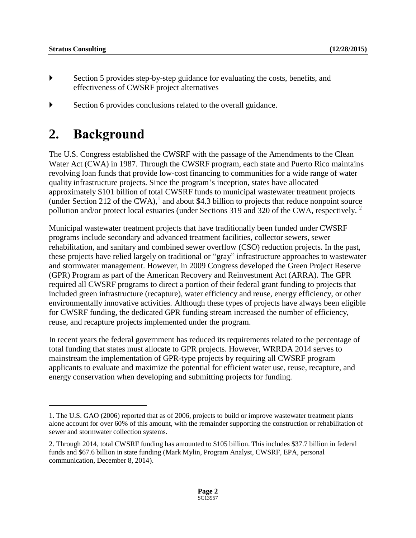$\overline{a}$ 

- Section 5 provides step-by-step guidance for evaluating the costs, benefits, and effectiveness of CWSRF project alternatives
- Section 6 provides conclusions related to the overall guidance.

## **2. Background**

The U.S. Congress established the CWSRF with the passage of the Amendments to the Clean Water Act (CWA) in 1987. Through the CWSRF program, each state and Puerto Rico maintains revolving loan funds that provide low-cost financing to communities for a wide range of water quality infrastructure projects. Since the program's inception, states have allocated approximately \$101 billion of total CWSRF funds to municipal wastewater treatment projects (under Section 212 of the CWA), 1 and about \$4.3 billion to projects that reduce nonpoint source pollution and/or protect local estuaries (under Sections 319 and 320 of the CWA, respectively.<sup>2</sup>

Municipal wastewater treatment projects that have traditionally been funded under CWSRF programs include secondary and advanced treatment facilities, collector sewers, sewer rehabilitation, and sanitary and combined sewer overflow (CSO) reduction projects. In the past, these projects have relied largely on traditional or "gray" infrastructure approaches to wastewater and stormwater management. However, in 2009 Congress developed the Green Project Reserve (GPR) Program as part of the American Recovery and Reinvestment Act (ARRA). The GPR required all CWSRF programs to direct a portion of their federal grant funding to projects that included green infrastructure (recapture), water efficiency and reuse, energy efficiency, or other environmentally innovative activities. Although these types of projects have always been eligible for CWSRF funding, the dedicated GPR funding stream increased the number of efficiency, reuse, and recapture projects implemented under the program.

In recent years the federal government has reduced its requirements related to the percentage of total funding that states must allocate to GPR projects. However, WRRDA 2014 serves to mainstream the implementation of GPR-type projects by requiring all CWSRF program applicants to evaluate and maximize the potential for efficient water use, reuse, recapture, and energy conservation when developing and submitting projects for funding.

<sup>1.</sup> The U.S. GAO (2006) reported that as of 2006, projects to build or improve wastewater treatment plants alone account for over 60% of this amount, with the remainder supporting the construction or rehabilitation of sewer and stormwater collection systems.

<sup>2.</sup> Through 2014, total CWSRF funding has amounted to \$105 billion. This includes \$37.7 billion in federal funds and \$67.6 billion in state funding (Mark Mylin, Program Analyst, CWSRF, EPA, personal communication, December 8, 2014).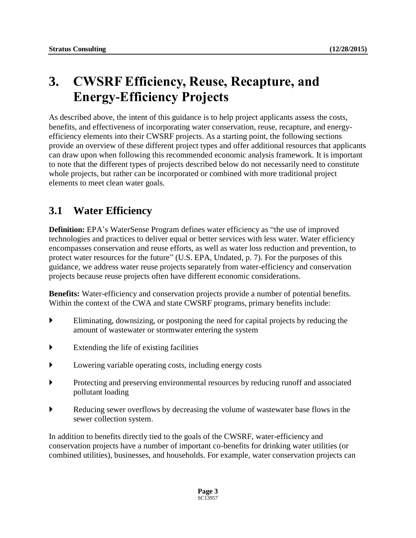## **3. CWSRF Efficiency, Reuse, Recapture, and Energy-Efficiency Projects**

As described above, the intent of this guidance is to help project applicants assess the costs, benefits, and effectiveness of incorporating water conservation, reuse, recapture, and energyefficiency elements into their CWSRF projects. As a starting point, the following sections provide an overview of these different project types and offer additional resources that applicants can draw upon when following this recommended economic analysis framework. It is important to note that the different types of projects described below do not necessarily need to constitute whole projects, but rather can be incorporated or combined with more traditional project elements to meet clean water goals.

## **3.1 Water Efficiency**

**Definition:** EPA's WaterSense Program defines water efficiency as "the use of improved technologies and practices to deliver equal or better services with less water. Water efficiency encompasses conservation and reuse efforts, as well as water loss reduction and prevention, to protect water resources for the future" (U.S. EPA, Undated, p. 7). For the purposes of this guidance, we address water reuse projects separately from water-efficiency and conservation projects because reuse projects often have different economic considerations.

**Benefits:** Water-efficiency and conservation projects provide a number of potential benefits. Within the context of the CWA and state CWSRF programs, primary benefits include:

- Eliminating, downsizing, or postponing the need for capital projects by reducing the amount of wastewater or stormwater entering the system
- $\blacktriangleright$  Extending the life of existing facilities
- Lowering variable operating costs, including energy costs
- Protecting and preserving environmental resources by reducing runoff and associated pollutant loading
- Reducing sewer overflows by decreasing the volume of wastewater base flows in the sewer collection system.

In addition to benefits directly tied to the goals of the CWSRF, water-efficiency and conservation projects have a number of important co-benefits for drinking water utilities (or combined utilities), businesses, and households. For example, water conservation projects can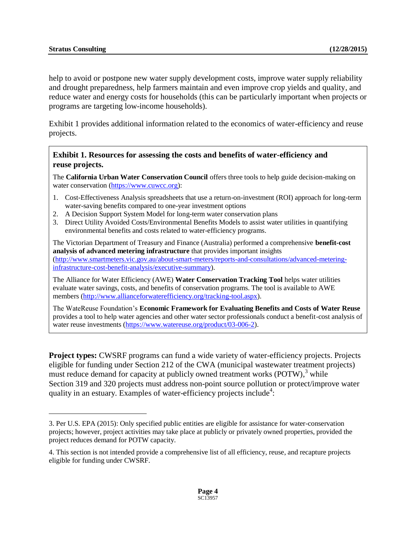$\overline{a}$ 

help to avoid or postpone new water supply development costs, improve water supply reliability and drought preparedness, help farmers maintain and even improve crop yields and quality, and reduce water and energy costs for households (this can be particularly important when projects or programs are targeting low-income households).

Exhibit 1 provides additional information related to the economics of water-efficiency and reuse projects.

#### **Exhibit 1. Resources for assessing the costs and benefits of water-efficiency and reuse projects.**

The **California Urban Water Conservation Council** offers three tools to help guide decision-making on water conservation [\(https://www.cuwcc.org\)](https://www.cuwcc.org/):

- 1. Cost-Effectiveness Analysis spreadsheets that use a return-on-investment (ROI) approach for long-term water-saving benefits compared to one-year investment options
- 2. A Decision Support System Model for long-term water conservation plans
- 3. Direct Utility Avoided Costs/Environmental Benefits Models to assist water utilities in quantifying environmental benefits and costs related to water-efficiency programs.

The Victorian Department of Treasury and Finance (Australia) performed a comprehensive **benefit-cost analysis of advanced metering infrastructure** that provides important insights [\(http://www.smartmeters.vic.gov.au/about-smart-meters/reports-and-consultations/advanced-metering](http://www.smartmeters.vic.gov.au/about-smart-meters/reports-and-consultations/advanced-metering-infrastructure-cost-benefit-analysis/executive-summary)[infrastructure-cost-benefit-analysis/executive-summary\)](http://www.smartmeters.vic.gov.au/about-smart-meters/reports-and-consultations/advanced-metering-infrastructure-cost-benefit-analysis/executive-summary).

The Alliance for Water Efficiency (AWE) **Water Conservation Tracking Tool** helps water utilities evaluate water savings, costs, and benefits of conservation programs. The tool is available to AWE members [\(http://www.allianceforwaterefficiency.org/tracking-tool.aspx\)](http://www.allianceforwaterefficiency.org/tracking-tool.aspx).

The WateReuse Foundation's **Economic Framework for Evaluating Benefits and Costs of Water Reuse** provides a tool to help water agencies and other water sector professionals conduct a benefit-cost analysis of water reuse investments [\(https://www.watereuse.org/product/03-006-2\)](https://www.watereuse.org/product/03-006-2).

**Project types:** CWSRF programs can fund a wide variety of water-efficiency projects. Projects eligible for funding under Section 212 of the CWA (municipal wastewater treatment projects) must reduce demand for capacity at publicly owned treatment works (POTW),<sup>3</sup> while Section 319 and 320 projects must address non-point source pollution or protect/improve water quality in an estuary. Examples of water-efficiency projects include<sup>4</sup>:

<sup>3.</sup> Per U.S. EPA (2015): Only specified public entities are eligible for assistance for water-conservation projects; however, project activities may take place at publicly or privately owned properties, provided the project reduces demand for POTW capacity.

<sup>4.</sup> This section is not intended provide a comprehensive list of all efficiency, reuse, and recapture projects eligible for funding under CWSRF.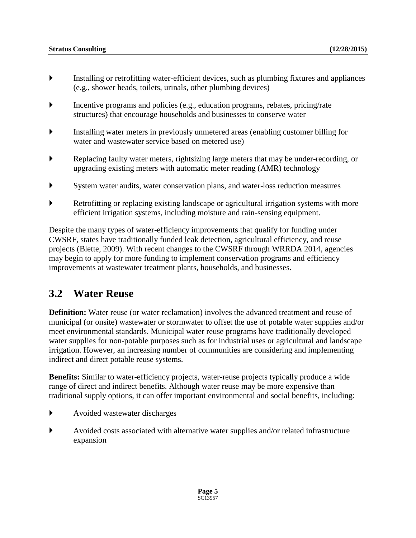- Installing or retrofitting water-efficient devices, such as plumbing fixtures and appliances (e.g., shower heads, toilets, urinals, other plumbing devices)
- Incentive programs and policies (e.g., education programs, rebates, pricing/rate structures) that encourage households and businesses to conserve water
- Installing water meters in previously unmetered areas (enabling customer billing for water and wastewater service based on metered use)
- Replacing faulty water meters, rightsizing large meters that may be under-recording, or upgrading existing meters with automatic meter reading (AMR) technology
- System water audits, water conservation plans, and water-loss reduction measures
- Retrofitting or replacing existing landscape or agricultural irrigation systems with more efficient irrigation systems, including moisture and rain-sensing equipment.

Despite the many types of water-efficiency improvements that qualify for funding under CWSRF, states have traditionally funded leak detection, agricultural efficiency, and reuse projects (Blette, 2009). With recent changes to the CWSRF through WRRDA 2014, agencies may begin to apply for more funding to implement conservation programs and efficiency improvements at wastewater treatment plants, households, and businesses.

### **3.2 Water Reuse**

**Definition:** Water reuse (or water reclamation) involves the advanced treatment and reuse of municipal (or onsite) wastewater or stormwater to offset the use of potable water supplies and/or meet environmental standards. Municipal water reuse programs have traditionally developed water supplies for non-potable purposes such as for industrial uses or agricultural and landscape irrigation. However, an increasing number of communities are considering and implementing indirect and direct potable reuse systems.

**Benefits:** Similar to water-efficiency projects, water-reuse projects typically produce a wide range of direct and indirect benefits. Although water reuse may be more expensive than traditional supply options, it can offer important environmental and social benefits, including:

- Avoided wastewater discharges
- Avoided costs associated with alternative water supplies and/or related infrastructure expansion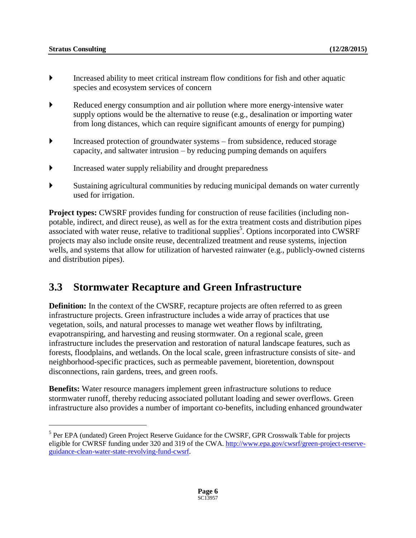$\overline{a}$ 

- Increased ability to meet critical instream flow conditions for fish and other aquatic species and ecosystem services of concern
- Reduced energy consumption and air pollution where more energy-intensive water supply options would be the alternative to reuse (e.g., desalination or importing water from long distances, which can require significant amounts of energy for pumping)
- Increased protection of groundwater systems from subsidence, reduced storage capacity, and saltwater intrusion – by reducing pumping demands on aquifers
- Increased water supply reliability and drought preparedness
- Sustaining agricultural communities by reducing municipal demands on water currently used for irrigation.

**Project types:** CWSRF provides funding for construction of reuse facilities (including nonpotable, indirect, and direct reuse), as well as for the extra treatment costs and distribution pipes associated with water reuse, relative to traditional supplies<sup>5</sup>. Options incorporated into CWSRF projects may also include onsite reuse, decentralized treatment and reuse systems, injection wells, and systems that allow for utilization of harvested rainwater (e.g., publicly-owned cisterns and distribution pipes).

## **3.3 Stormwater Recapture and Green Infrastructure**

**Definition:** In the context of the CWSRF, recapture projects are often referred to as green infrastructure projects. Green infrastructure includes a wide array of practices that use vegetation, soils, and natural processes to manage wet weather flows by infiltrating, evapotranspiring, and harvesting and reusing stormwater. On a regional scale, green infrastructure includes the preservation and restoration of natural landscape features, such as forests, floodplains, and wetlands. On the local scale, green infrastructure consists of site- and neighborhood-specific practices, such as permeable pavement, bioretention, downspout disconnections, rain gardens, trees, and green roofs.

**Benefits:** Water resource managers implement green infrastructure solutions to reduce stormwater runoff, thereby reducing associated pollutant loading and sewer overflows. Green infrastructure also provides a number of important co-benefits, including enhanced groundwater

<sup>&</sup>lt;sup>5</sup> Per EPA (undated) Green Project Reserve Guidance for the CWSRF, GPR Crosswalk Table for projects eligible for CWRSF funding under 320 and 319 of the CWA. [http://www.epa.gov/cwsrf/green-project-reserve](http://www.epa.gov/cwsrf/green-project-reserve-guidance-clean-water-state-revolving-fund-cwsrf)[guidance-clean-water-state-revolving-fund-cwsrf.](http://www.epa.gov/cwsrf/green-project-reserve-guidance-clean-water-state-revolving-fund-cwsrf)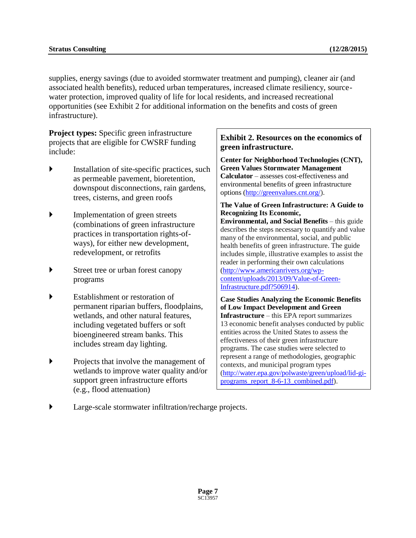supplies, energy savings (due to avoided stormwater treatment and pumping), cleaner air (and associated health benefits), reduced urban temperatures, increased climate resiliency, sourcewater protection, improved quality of life for local residents, and increased recreational opportunities (see Exhibit 2 for additional information on the benefits and costs of green infrastructure).

**Project types:** Specific green infrastructure projects that are eligible for CWSRF funding include:

- Installation of site-specific practices, such as permeable pavement, bioretention, downspout disconnections, rain gardens, trees, cisterns, and green roofs
- Implementation of green streets (combinations of green infrastructure practices in transportation rights-ofways), for either new development, redevelopment, or retrofits
- Street tree or urban forest canopy programs
- Establishment or restoration of permanent riparian buffers, floodplains, wetlands, and other natural features, including vegetated buffers or soft bioengineered stream banks. This includes stream day lighting.
- Projects that involve the management of wetlands to improve water quality and/or support green infrastructure efforts (e.g., flood attenuation)

#### **Exhibit 2. Resources on the economics of green infrastructure.**

**Center for Neighborhood Technologies (CNT), Green Values Stormwater Management Calculator** – assesses cost-effectiveness and environmental benefits of green infrastructure options [\(http://greenvalues.cnt.org/\)](http://greenvalues.cnt.org/).

#### **The Value of Green Infrastructure: A Guide to Recognizing Its Economic,**

**Environmental, and Social Benefits** – this guide describes the steps necessary to quantify and value many of the environmental, social, and public health benefits of green infrastructure. The guide includes simple, illustrative examples to assist the reader in performing their own calculations [\(http://www.americanrivers.org/wp](http://www.americanrivers.org/wp-content/uploads/2013/09/Value-of-Green-Infrastructure.pdf?506914)[content/uploads/2013/09/Value-of-Green-](http://www.americanrivers.org/wp-content/uploads/2013/09/Value-of-Green-Infrastructure.pdf?506914)[Infrastructure.pdf?506914\)](http://www.americanrivers.org/wp-content/uploads/2013/09/Value-of-Green-Infrastructure.pdf?506914).

**Case Studies Analyzing the Economic Benefits of Low Impact Development and Green Infrastructure** – this EPA report summarizes 13 economic benefit analyses conducted by public entities across the United States to assess the effectiveness of their green infrastructure programs. The case studies were selected to represent a range of methodologies, geographic contexts, and municipal program types [\(http://water.epa.gov/polwaste/green/upload/lid-gi](http://water.epa.gov/polwaste/green/upload/lid-gi-programs_report_8-6-13_combined.pdf)[programs\\_report\\_8-6-13\\_combined.pdf\)](http://water.epa.gov/polwaste/green/upload/lid-gi-programs_report_8-6-13_combined.pdf).

Large-scale stormwater infiltration/recharge projects.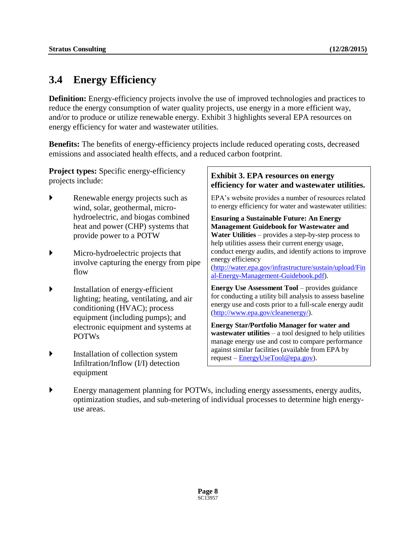## **3.4 Energy Efficiency**

**Definition:** Energy-efficiency projects involve the use of improved technologies and practices to reduce the energy consumption of water quality projects, use energy in a more efficient way, and/or to produce or utilize renewable energy. Exhibit 3 highlights several EPA resources on energy efficiency for water and wastewater utilities.

**Benefits:** The benefits of energy-efficiency projects include reduced operating costs, decreased emissions and associated health effects, and a reduced carbon footprint.

**Project types:** Specific energy-efficiency projects include:

- Renewable energy projects such as wind, solar, geothermal, microhydroelectric, and biogas combined heat and power (CHP) systems that provide power to a POTW
- Micro-hydroelectric projects that involve capturing the energy from pipe flow
- Installation of energy-efficient lighting; heating, ventilating, and air conditioning (HVAC); process equipment (including pumps); and electronic equipment and systems at POTWs
- Installation of collection system Infiltration/Inflow (I/I) detection equipment

#### **Exhibit 3. EPA resources on energy efficiency for water and wastewater utilities.**

EPA's website provides a number of resources related to energy efficiency for water and wastewater utilities:

**Ensuring a Sustainable Future: An Energy Management Guidebook for Wastewater and Water Utilities** – provides a step-by-step process to help utilities assess their current energy usage, conduct energy audits, and identify actions to improve energy efficiency [\(http://water.epa.gov/infrastructure/sustain/upload/Fin](http://water.epa.gov/infrastructure/sustain/upload/Final-Energy-Management-Guidebook.pdf)

[al-Energy-Management-Guidebook.pdf\)](http://water.epa.gov/infrastructure/sustain/upload/Final-Energy-Management-Guidebook.pdf).

**Energy Use Assessment Tool** – provides guidance for conducting a utility bill analysis to assess baseline energy use and costs prior to a full-scale energy audit [\(http://www.epa.gov/cleanenergy/\)](http://www.epa.gov/cleanenergy/).

**Energy Star/Portfolio Manager for water and wastewater utilities** – a tool designed to help utilities manage energy use and cost to compare performance against similar facilities (available from EPA by request – [EnergyUseTool@epa.gov\)](file://///SBOFS/project/NRDC_WRDDA/Report/July17_Final/EnergyUseTool@epa.gov).

 Energy management planning for POTWs, including energy assessments, energy audits, optimization studies, and sub-metering of individual processes to determine high energyuse areas.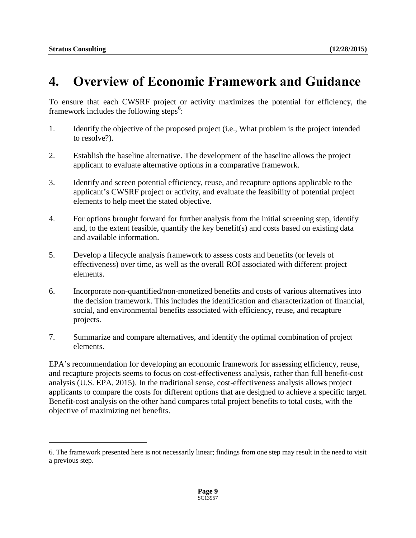$\overline{a}$ 

## **4. Overview of Economic Framework and Guidance**

To ensure that each CWSRF project or activity maximizes the potential for efficiency, the framework includes the following steps<sup>6</sup>:

- 1. Identify the objective of the proposed project (i.e., What problem is the project intended to resolve?).
- 2. Establish the baseline alternative. The development of the baseline allows the project applicant to evaluate alternative options in a comparative framework.
- 3. Identify and screen potential efficiency, reuse, and recapture options applicable to the applicant's CWSRF project or activity, and evaluate the feasibility of potential project elements to help meet the stated objective.
- 4. For options brought forward for further analysis from the initial screening step, identify and, to the extent feasible, quantify the key benefit(s) and costs based on existing data and available information.
- 5. Develop a lifecycle analysis framework to assess costs and benefits (or levels of effectiveness) over time, as well as the overall ROI associated with different project elements.
- 6. Incorporate non-quantified/non-monetized benefits and costs of various alternatives into the decision framework. This includes the identification and characterization of financial, social, and environmental benefits associated with efficiency, reuse, and recapture projects.
- 7. Summarize and compare alternatives, and identify the optimal combination of project elements.

EPA's recommendation for developing an economic framework for assessing efficiency, reuse, and recapture projects seems to focus on cost-effectiveness analysis, rather than full benefit-cost analysis (U.S. EPA, 2015). In the traditional sense, cost-effectiveness analysis allows project applicants to compare the costs for different options that are designed to achieve a specific target. Benefit-cost analysis on the other hand compares total project benefits to total costs, with the objective of maximizing net benefits.

<sup>6.</sup> The framework presented here is not necessarily linear; findings from one step may result in the need to visit a previous step.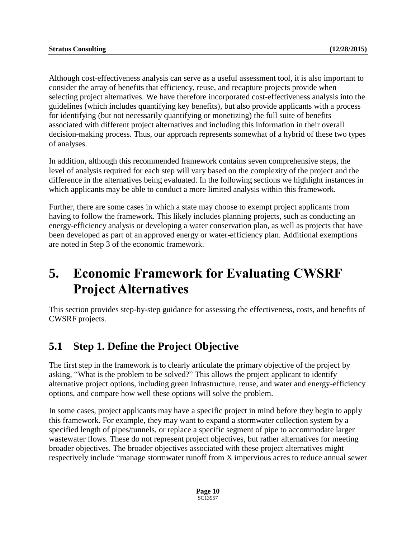Although cost-effectiveness analysis can serve as a useful assessment tool, it is also important to consider the array of benefits that efficiency, reuse, and recapture projects provide when selecting project alternatives. We have therefore incorporated cost-effectiveness analysis into the guidelines (which includes quantifying key benefits), but also provide applicants with a process for identifying (but not necessarily quantifying or monetizing) the full suite of benefits associated with different project alternatives and including this information in their overall decision-making process. Thus, our approach represents somewhat of a hybrid of these two types of analyses.

In addition, although this recommended framework contains seven comprehensive steps, the level of analysis required for each step will vary based on the complexity of the project and the difference in the alternatives being evaluated. In the following sections we highlight instances in which applicants may be able to conduct a more limited analysis within this framework.

Further, there are some cases in which a state may choose to exempt project applicants from having to follow the framework. This likely includes planning projects, such as conducting an energy-efficiency analysis or developing a water conservation plan, as well as projects that have been developed as part of an approved energy or water-efficiency plan. Additional exemptions are noted in Step 3 of the economic framework.

## **5. Economic Framework for Evaluating CWSRF Project Alternatives**

This section provides step-by-step guidance for assessing the effectiveness, costs, and benefits of CWSRF projects.

## **5.1 Step 1. Define the Project Objective**

The first step in the framework is to clearly articulate the primary objective of the project by asking, "What is the problem to be solved?" This allows the project applicant to identify alternative project options, including green infrastructure, reuse, and water and energy-efficiency options, and compare how well these options will solve the problem.

In some cases, project applicants may have a specific project in mind before they begin to apply this framework. For example, they may want to expand a stormwater collection system by a specified length of pipes/tunnels, or replace a specific segment of pipe to accommodate larger wastewater flows. These do not represent project objectives, but rather alternatives for meeting broader objectives. The broader objectives associated with these project alternatives might respectively include "manage stormwater runoff from X impervious acres to reduce annual sewer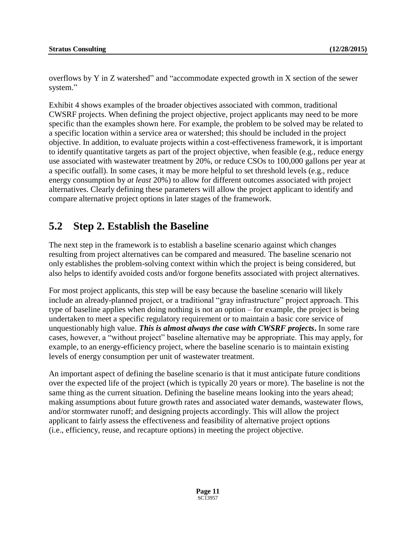overflows by Y in Z watershed" and "accommodate expected growth in X section of the sewer system."

Exhibit 4 shows examples of the broader objectives associated with common, traditional CWSRF projects. When defining the project objective, project applicants may need to be more specific than the examples shown here. For example, the problem to be solved may be related to a specific location within a service area or watershed; this should be included in the project objective. In addition, to evaluate projects within a cost-effectiveness framework, it is important to identify quantitative targets as part of the project objective, when feasible (e.g., reduce energy use associated with wastewater treatment by 20%, or reduce CSOs to 100,000 gallons per year at a specific outfall). In some cases, it may be more helpful to set threshold levels (e.g., reduce energy consumption by *at least* 20%) to allow for different outcomes associated with project alternatives. Clearly defining these parameters will allow the project applicant to identify and compare alternative project options in later stages of the framework.

### **5.2 Step 2. Establish the Baseline**

The next step in the framework is to establish a baseline scenario against which changes resulting from project alternatives can be compared and measured. The baseline scenario not only establishes the problem-solving context within which the project is being considered, but also helps to identify avoided costs and/or forgone benefits associated with project alternatives.

For most project applicants, this step will be easy because the baseline scenario will likely include an already-planned project, or a traditional "gray infrastructure" project approach. This type of baseline applies when doing nothing is not an option – for example, the project is being undertaken to meet a specific regulatory requirement or to maintain a basic core service of unquestionably high value. *This is almost always the case with CWSRF projects***.** In some rare cases, however, a "without project" baseline alternative may be appropriate. This may apply, for example, to an energy-efficiency project, where the baseline scenario is to maintain existing levels of energy consumption per unit of wastewater treatment.

An important aspect of defining the baseline scenario is that it must anticipate future conditions over the expected life of the project (which is typically 20 years or more). The baseline is not the same thing as the current situation. Defining the baseline means looking into the years ahead; making assumptions about future growth rates and associated water demands, wastewater flows, and/or stormwater runoff; and designing projects accordingly. This will allow the project applicant to fairly assess the effectiveness and feasibility of alternative project options (i.e., efficiency, reuse, and recapture options) in meeting the project objective.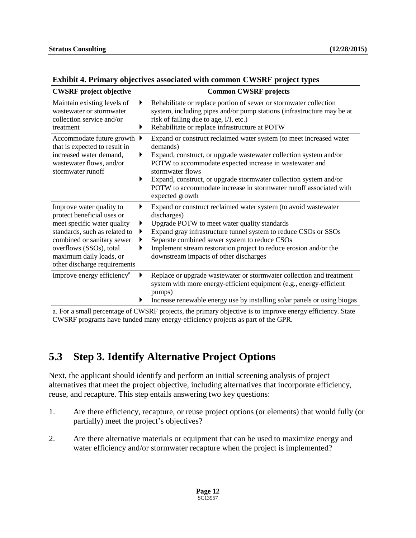| <b>CWSRF</b> project objective                                                                                                                                                                                                             |                       | <b>Common CWSRF projects</b>                                                                                                                                                                                                                                                                                                                                                                     |  |  |  |
|--------------------------------------------------------------------------------------------------------------------------------------------------------------------------------------------------------------------------------------------|-----------------------|--------------------------------------------------------------------------------------------------------------------------------------------------------------------------------------------------------------------------------------------------------------------------------------------------------------------------------------------------------------------------------------------------|--|--|--|
| Maintain existing levels of<br>▶<br>wastewater or stormwater<br>collection service and/or<br>▶<br>treatment                                                                                                                                |                       | Rehabilitate or replace portion of sewer or stormwater collection<br>system, including pipes and/or pump stations (infrastructure may be at<br>risk of failing due to age, I/I, etc.)<br>Rehabilitate or replace infrastructure at POTW                                                                                                                                                          |  |  |  |
| Accommodate future growth $\blacktriangleright$<br>that is expected to result in<br>increased water demand,<br>wastewater flows, and/or<br>stormwater runoff                                                                               | ▶<br>▶                | Expand or construct reclaimed water system (to meet increased water<br>demands)<br>Expand, construct, or upgrade wastewater collection system and/or<br>POTW to accommodate expected increase in wastewater and<br>stormwater flows<br>Expand, construct, or upgrade stormwater collection system and/or<br>POTW to accommodate increase in stormwater runoff associated with<br>expected growth |  |  |  |
| Improve water quality to<br>protect beneficial uses or<br>meet specific water quality<br>standards, such as related to<br>combined or sanitary sewer<br>overflows (SSOs), total<br>maximum daily loads, or<br>other discharge requirements | ▶<br>▶<br>▶<br>▶<br>▶ | Expand or construct reclaimed water system (to avoid wastewater<br>discharges)<br>Upgrade POTW to meet water quality standards<br>Expand gray infrastructure tunnel system to reduce CSOs or SSOs<br>Separate combined sewer system to reduce CSOs<br>Implement stream restoration project to reduce erosion and/or the<br>downstream impacts of other discharges                                |  |  |  |
| Improve energy efficiency <sup>a</sup>                                                                                                                                                                                                     | ▶<br>▶                | Replace or upgrade wastewater or stormwater collection and treatment<br>system with more energy-efficient equipment (e.g., energy-efficient<br>pumps)<br>Increase renewable energy use by installing solar panels or using biogas                                                                                                                                                                |  |  |  |
| a For a small percentage of CWSRF projects the primary objective is to improve energy efficiency. State                                                                                                                                    |                       |                                                                                                                                                                                                                                                                                                                                                                                                  |  |  |  |

#### **Exhibit 4. Primary objectives associated with common CWSRF project types**

all percentage of CWSRF projects, the primary objective is to improve energy efficiency. State CWSRF programs have funded many energy-efficiency projects as part of the GPR.

## **5.3 Step 3. Identify Alternative Project Options**

Next, the applicant should identify and perform an initial screening analysis of project alternatives that meet the project objective, including alternatives that incorporate efficiency, reuse, and recapture. This step entails answering two key questions:

- 1. Are there efficiency, recapture, or reuse project options (or elements) that would fully (or partially) meet the project's objectives?
- 2. Are there alternative materials or equipment that can be used to maximize energy and water efficiency and/or stormwater recapture when the project is implemented?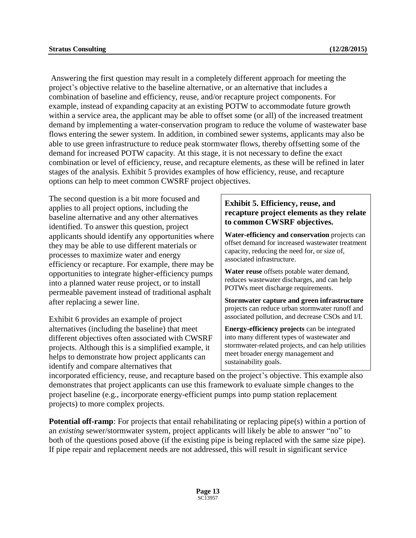Answering the first question may result in a completely different approach for meeting the project's objective relative to the baseline alternative, or an alternative that includes a combination of baseline and efficiency, reuse, and/or recapture project components. For example, instead of expanding capacity at an existing POTW to accommodate future growth within a service area, the applicant may be able to offset some (or all) of the increased treatment demand by implementing a water-conservation program to reduce the volume of wastewater base flows entering the sewer system. In addition, in combined sewer systems, applicants may also be able to use green infrastructure to reduce peak stormwater flows, thereby offsetting some of the demand for increased POTW capacity. At this stage, it is not necessary to define the exact combination or level of efficiency, reuse, and recapture elements, as these will be refined in later stages of the analysis. Exhibit 5 provides examples of how efficiency, reuse, and recapture options can help to meet common CWSRF project objectives.

The second question is a bit more focused and applies to all project options, including the baseline alternative and any other alternatives identified. To answer this question, project applicants should identify any opportunities where they may be able to use different materials or processes to maximize water and energy efficiency or recapture. For example, there may be opportunities to integrate higher-efficiency pumps into a planned water reuse project, or to install permeable pavement instead of traditional asphalt after replacing a sewer line.

Exhibit 6 provides an example of project alternatives (including the baseline) that meet different objectives often associated with CWSRF projects. Although this is a simplified example, it helps to demonstrate how project applicants can identify and compare alternatives that

#### **Exhibit 5. Efficiency, reuse, and recapture project elements as they relate to common CWSRF objectives.**

**Water-efficiency and conservation** projects can offset demand for increased wastewater treatment capacity, reducing the need for, or size of, associated infrastructure.

**Water reuse** offsets potable water demand, reduces wastewater discharges, and can help POTWs meet discharge requirements.

**Stormwater capture and green infrastructure** projects can reduce urban stormwater runoff and associated pollution, and decrease CSOs and I/I.

**Energy-efficiency projects** can be integrated into many different types of wastewater and stormwater-related projects, and can help utilities meet broader energy management and sustainability goals.

incorporated efficiency, reuse, and recapture based on the project's objective. This example also demonstrates that project applicants can use this framework to evaluate simple changes to the project baseline (e.g., incorporate energy-efficient pumps into pump station replacement projects) to more complex projects.

**Potential off-ramp**: For projects that entail rehabilitating or replacing pipe(s) within a portion of an *existing* sewer/stormwater system, project applicants will likely be able to answer "no" to both of the questions posed above (if the existing pipe is being replaced with the same size pipe). If pipe repair and replacement needs are not addressed, this will result in significant service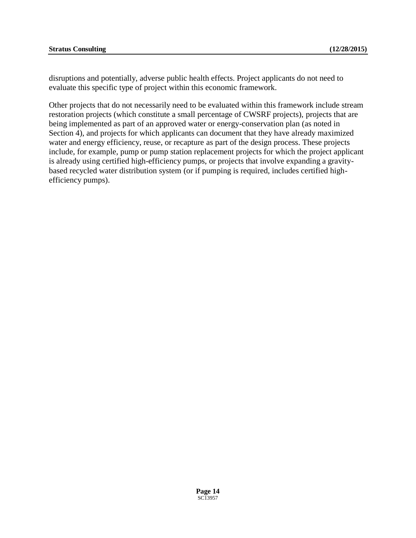disruptions and potentially, adverse public health effects. Project applicants do not need to evaluate this specific type of project within this economic framework.

Other projects that do not necessarily need to be evaluated within this framework include stream restoration projects (which constitute a small percentage of CWSRF projects), projects that are being implemented as part of an approved water or energy-conservation plan (as noted in Section 4), and projects for which applicants can document that they have already maximized water and energy efficiency, reuse, or recapture as part of the design process. These projects include, for example, pump or pump station replacement projects for which the project applicant is already using certified high-efficiency pumps, or projects that involve expanding a gravitybased recycled water distribution system (or if pumping is required, includes certified highefficiency pumps).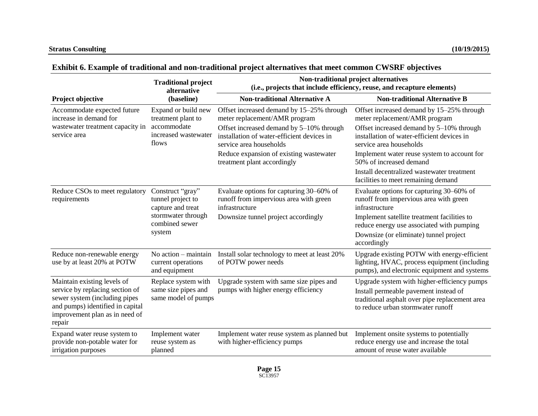|                                                                                                                                                                                 | <b>Traditional project</b><br>alternative                                                          | Non-traditional project alternatives<br>(i.e., projects that include efficiency, reuse, and recapture elements)   |                                                                                                                                                                             |  |  |  |
|---------------------------------------------------------------------------------------------------------------------------------------------------------------------------------|----------------------------------------------------------------------------------------------------|-------------------------------------------------------------------------------------------------------------------|-----------------------------------------------------------------------------------------------------------------------------------------------------------------------------|--|--|--|
| Project objective                                                                                                                                                               | (baseline)                                                                                         | <b>Non-traditional Alternative A</b>                                                                              | <b>Non-traditional Alternative B</b>                                                                                                                                        |  |  |  |
| Accommodate expected future<br>increase in demand for                                                                                                                           | Expand or build new<br>treatment plant to<br>accommodate<br>increased wastewater<br>flows          | Offset increased demand by 15–25% through<br>meter replacement/AMR program                                        | Offset increased demand by 15–25% through<br>meter replacement/AMR program                                                                                                  |  |  |  |
| wastewater treatment capacity in<br>service area                                                                                                                                |                                                                                                    | Offset increased demand by 5-10% through<br>installation of water-efficient devices in<br>service area households | Offset increased demand by 5-10% through<br>installation of water-efficient devices in<br>service area households                                                           |  |  |  |
|                                                                                                                                                                                 |                                                                                                    | Reduce expansion of existing was tewater<br>treatment plant accordingly                                           | Implement water reuse system to account for<br>50% of increased demand                                                                                                      |  |  |  |
|                                                                                                                                                                                 |                                                                                                    |                                                                                                                   | Install decentralized wastewater treatment<br>facilities to meet remaining demand                                                                                           |  |  |  |
| Reduce CSOs to meet regulatory<br>requirements                                                                                                                                  | Construct "gray"<br>tunnel project to<br>capture and treat<br>stormwater through<br>combined sewer | Evaluate options for capturing 30–60% of<br>runoff from impervious area with green<br>infrastructure              | Evaluate options for capturing 30–60% of<br>runoff from impervious area with green<br>infrastructure                                                                        |  |  |  |
|                                                                                                                                                                                 |                                                                                                    | Downsize tunnel project accordingly                                                                               | Implement satellite treatment facilities to<br>reduce energy use associated with pumping                                                                                    |  |  |  |
|                                                                                                                                                                                 | system                                                                                             |                                                                                                                   | Downsize (or eliminate) tunnel project<br>accordingly                                                                                                                       |  |  |  |
| Reduce non-renewable energy<br>use by at least 20% at POTW                                                                                                                      | No action – maintain<br>current operations<br>and equipment                                        | Install solar technology to meet at least 20%<br>of POTW power needs                                              | Upgrade existing POTW with energy-efficient<br>lighting, HVAC, process equipment (including<br>pumps), and electronic equipment and systems                                 |  |  |  |
| Maintain existing levels of<br>service by replacing section of<br>sewer system (including pipes<br>and pumps) identified in capital<br>improvement plan as in need of<br>repair | Replace system with<br>same size pipes and<br>same model of pumps                                  | Upgrade system with same size pipes and<br>pumps with higher energy efficiency                                    | Upgrade system with higher-efficiency pumps<br>Install permeable pavement instead of<br>traditional asphalt over pipe replacement area<br>to reduce urban stormwater runoff |  |  |  |
| Expand water reuse system to<br>provide non-potable water for<br>irrigation purposes                                                                                            | Implement water<br>reuse system as<br>planned                                                      | Implement water reuse system as planned but<br>with higher-efficiency pumps                                       | Implement onsite systems to potentially<br>reduce energy use and increase the total<br>amount of reuse water available                                                      |  |  |  |

#### **Exhibit 6. Example of traditional and non-traditional project alternatives that meet common CWSRF objectives**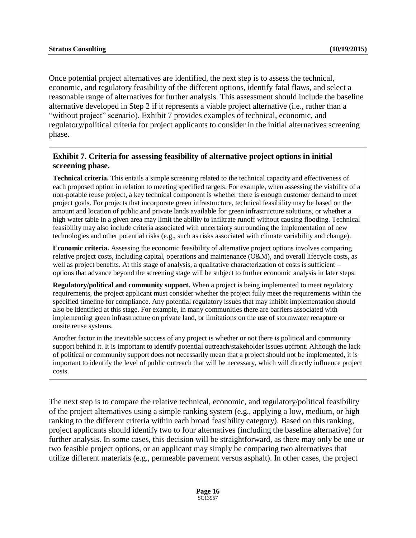Once potential project alternatives are identified, the next step is to assess the technical, economic, and regulatory feasibility of the different options, identify fatal flaws, and select a reasonable range of alternatives for further analysis. This assessment should include the baseline alternative developed in Step 2 if it represents a viable project alternative (i.e., rather than a "without project" scenario). Exhibit 7 provides examples of technical, economic, and regulatory/political criteria for project applicants to consider in the initial alternatives screening phase.

#### **Exhibit 7. Criteria for assessing feasibility of alternative project options in initial screening phase.**

**Technical criteria.** This entails a simple screening related to the technical capacity and effectiveness of each proposed option in relation to meeting specified targets. For example, when assessing the viability of a non-potable reuse project, a key technical component is whether there is enough customer demand to meet project goals. For projects that incorporate green infrastructure, technical feasibility may be based on the amount and location of public and private lands available for green infrastructure solutions, or whether a high water table in a given area may limit the ability to infiltrate runoff without causing flooding. Technical feasibility may also include criteria associated with uncertainty surrounding the implementation of new technologies and other potential risks (e.g., such as risks associated with climate variability and change).

**Economic criteria.** Assessing the economic feasibility of alternative project options involves comparing relative project costs, including capital, operations and maintenance (O&M), and overall lifecycle costs, as well as project benefits. At this stage of analysis, a qualitative characterization of costs is sufficient – options that advance beyond the screening stage will be subject to further economic analysis in later steps.

**Regulatory/political and community support.** When a project is being implemented to meet regulatory requirements, the project applicant must consider whether the project fully meet the requirements within the specified timeline for compliance. Any potential regulatory issues that may inhibit implementation should also be identified at this stage. For example, in many communities there are barriers associated with implementing green infrastructure on private land, or limitations on the use of stormwater recapture or onsite reuse systems.

Another factor in the inevitable success of any project is whether or not there is political and community support behind it. It is important to identify potential outreach/stakeholder issues upfront. Although the lack of political or community support does not necessarily mean that a project should not be implemented, it is important to identify the level of public outreach that will be necessary, which will directly influence project costs.

The next step is to compare the relative technical, economic, and regulatory/political feasibility of the project alternatives using a simple ranking system (e.g., applying a low, medium, or high ranking to the different criteria within each broad feasibility category). Based on this ranking, project applicants should identify two to four alternatives (including the baseline alternative) for further analysis. In some cases, this decision will be straightforward, as there may only be one or two feasible project options, or an applicant may simply be comparing two alternatives that utilize different materials (e.g., permeable pavement versus asphalt). In other cases, the project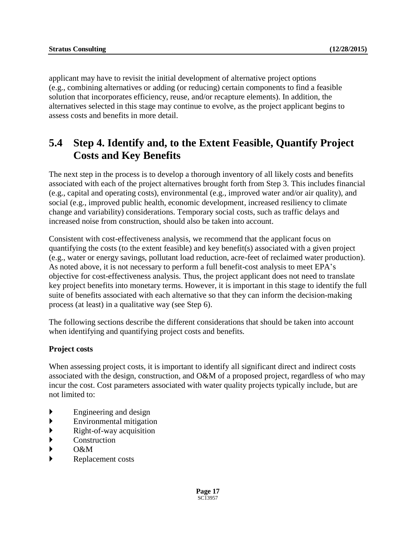applicant may have to revisit the initial development of alternative project options (e.g., combining alternatives or adding (or reducing) certain components to find a feasible solution that incorporates efficiency, reuse, and/or recapture elements). In addition, the alternatives selected in this stage may continue to evolve, as the project applicant begins to assess costs and benefits in more detail.

## **5.4 Step 4. Identify and, to the Extent Feasible, Quantify Project Costs and Key Benefits**

The next step in the process is to develop a thorough inventory of all likely costs and benefits associated with each of the project alternatives brought forth from Step 3. This includes financial (e.g., capital and operating costs), environmental (e.g., improved water and/or air quality), and social (e.g., improved public health, economic development, increased resiliency to climate change and variability) considerations. Temporary social costs, such as traffic delays and increased noise from construction, should also be taken into account.

Consistent with cost-effectiveness analysis, we recommend that the applicant focus on quantifying the costs (to the extent feasible) and key benefit(s) associated with a given project (e.g., water or energy savings, pollutant load reduction, acre-feet of reclaimed water production). As noted above, it is not necessary to perform a full benefit-cost analysis to meet EPA's objective for cost-effectiveness analysis. Thus, the project applicant does not need to translate key project benefits into monetary terms. However, it is important in this stage to identify the full suite of benefits associated with each alternative so that they can inform the decision-making process (at least) in a qualitative way (see Step 6).

The following sections describe the different considerations that should be taken into account when identifying and quantifying project costs and benefits.

#### **Project costs**

When assessing project costs, it is important to identify all significant direct and indirect costs associated with the design, construction, and O&M of a proposed project, regardless of who may incur the cost. Cost parameters associated with water quality projects typically include, but are not limited to:

- Engineering and design
- Environmental mitigation
- $\blacktriangleright$  Right-of-way acquisition
- **EXECONSTRUCTION**
- $\rightarrow$  O&M
- rianglement costs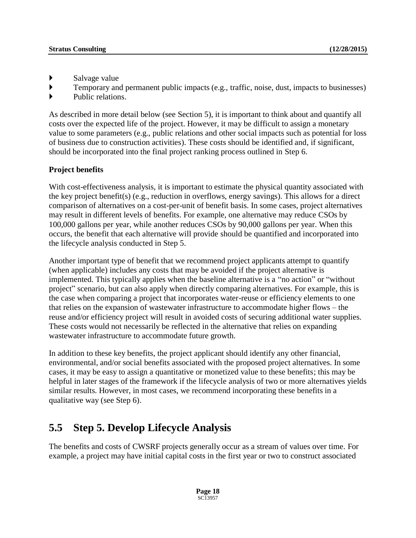- Salvage value
- Temporary and permanent public impacts (e.g., traffic, noise, dust, impacts to businesses)
- Public relations.

As described in more detail below (see Section 5), it is important to think about and quantify all costs over the expected life of the project. However, it may be difficult to assign a monetary value to some parameters (e.g., public relations and other social impacts such as potential for loss of business due to construction activities). These costs should be identified and, if significant, should be incorporated into the final project ranking process outlined in Step 6.

#### **Project benefits**

With cost-effectiveness analysis, it is important to estimate the physical quantity associated with the key project benefit(s) (e.g., reduction in overflows, energy savings). This allows for a direct comparison of alternatives on a cost-per-unit of benefit basis. In some cases, project alternatives may result in different levels of benefits. For example, one alternative may reduce CSOs by 100,000 gallons per year, while another reduces CSOs by 90,000 gallons per year. When this occurs, the benefit that each alternative will provide should be quantified and incorporated into the lifecycle analysis conducted in Step 5.

Another important type of benefit that we recommend project applicants attempt to quantify (when applicable) includes any costs that may be avoided if the project alternative is implemented. This typically applies when the baseline alternative is a "no action" or "without project" scenario, but can also apply when directly comparing alternatives. For example, this is the case when comparing a project that incorporates water-reuse or efficiency elements to one that relies on the expansion of wastewater infrastructure to accommodate higher flows – the reuse and/or efficiency project will result in avoided costs of securing additional water supplies. These costs would not necessarily be reflected in the alternative that relies on expanding wastewater infrastructure to accommodate future growth.

In addition to these key benefits, the project applicant should identify any other financial, environmental, and/or social benefits associated with the proposed project alternatives. In some cases, it may be easy to assign a quantitative or monetized value to these benefits; this may be helpful in later stages of the framework if the lifecycle analysis of two or more alternatives yields similar results. However, in most cases, we recommend incorporating these benefits in a qualitative way (see Step 6).

## **5.5 Step 5. Develop Lifecycle Analysis**

The benefits and costs of CWSRF projects generally occur as a stream of values over time. For example, a project may have initial capital costs in the first year or two to construct associated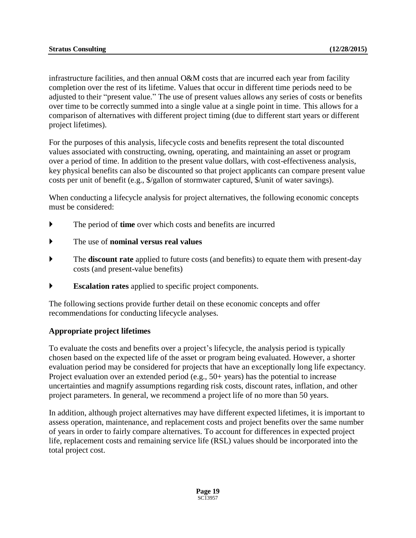infrastructure facilities, and then annual O&M costs that are incurred each year from facility completion over the rest of its lifetime. Values that occur in different time periods need to be adjusted to their "present value." The use of present values allows any series of costs or benefits over time to be correctly summed into a single value at a single point in time. This allows for a comparison of alternatives with different project timing (due to different start years or different project lifetimes).

For the purposes of this analysis, lifecycle costs and benefits represent the total discounted values associated with constructing, owning, operating, and maintaining an asset or program over a period of time. In addition to the present value dollars, with cost-effectiveness analysis, key physical benefits can also be discounted so that project applicants can compare present value costs per unit of benefit (e.g., \$/gallon of stormwater captured, \$/unit of water savings).

When conducting a lifecycle analysis for project alternatives, the following economic concepts must be considered:

- The period of **time** over which costs and benefits are incurred
- The use of **nominal versus real values**
- The **discount rate** applied to future costs (and benefits) to equate them with present-day costs (and present-value benefits)
- **Escalation rates** applied to specific project components.

The following sections provide further detail on these economic concepts and offer recommendations for conducting lifecycle analyses.

#### **Appropriate project lifetimes**

To evaluate the costs and benefits over a project's lifecycle, the analysis period is typically chosen based on the expected life of the asset or program being evaluated. However, a shorter evaluation period may be considered for projects that have an exceptionally long life expectancy. Project evaluation over an extended period (e.g., 50+ years) has the potential to increase uncertainties and magnify assumptions regarding risk costs, discount rates, inflation, and other project parameters. In general, we recommend a project life of no more than 50 years.

In addition, although project alternatives may have different expected lifetimes, it is important to assess operation, maintenance, and replacement costs and project benefits over the same number of years in order to fairly compare alternatives. To account for differences in expected project life, replacement costs and remaining service life (RSL) values should be incorporated into the total project cost.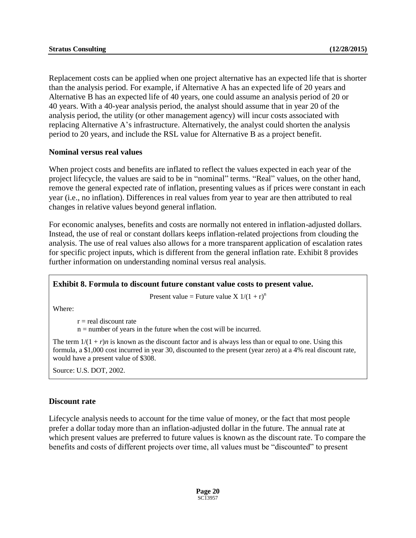Replacement costs can be applied when one project alternative has an expected life that is shorter than the analysis period. For example, if Alternative A has an expected life of 20 years and Alternative B has an expected life of 40 years, one could assume an analysis period of 20 or 40 years. With a 40-year analysis period, the analyst should assume that in year 20 of the analysis period, the utility (or other management agency) will incur costs associated with replacing Alternative A's infrastructure. Alternatively, the analyst could shorten the analysis period to 20 years, and include the RSL value for Alternative B as a project benefit.

#### **Nominal versus real values**

When project costs and benefits are inflated to reflect the values expected in each year of the project lifecycle, the values are said to be in "nominal" terms. "Real" values, on the other hand, remove the general expected rate of inflation, presenting values as if prices were constant in each year (i.e., no inflation). Differences in real values from year to year are then attributed to real changes in relative values beyond general inflation.

For economic analyses, benefits and costs are normally not entered in inflation-adjusted dollars. Instead, the use of real or constant dollars keeps inflation-related projections from clouding the analysis. The use of real values also allows for a more transparent application of escalation rates for specific project inputs, which is different from the general inflation rate. Exhibit 8 provides further information on understanding nominal versus real analysis.

#### **Exhibit 8. Formula to discount future constant value costs to present value.**

Present value = Future value X  $1/(1 + r)^n$ 

Where:

 $r =$  real discount rate

n = number of years in the future when the cost will be incurred.

The term  $1/(1 + r)n$  is known as the discount factor and is always less than or equal to one. Using this formula, a \$1,000 cost incurred in year 30, discounted to the present (year zero) at a 4% real discount rate, would have a present value of \$308.

Source: U.S. DOT, 2002.

#### **Discount rate**

Lifecycle analysis needs to account for the time value of money, or the fact that most people prefer a dollar today more than an inflation-adjusted dollar in the future. The annual rate at which present values are preferred to future values is known as the discount rate. To compare the benefits and costs of different projects over time, all values must be "discounted" to present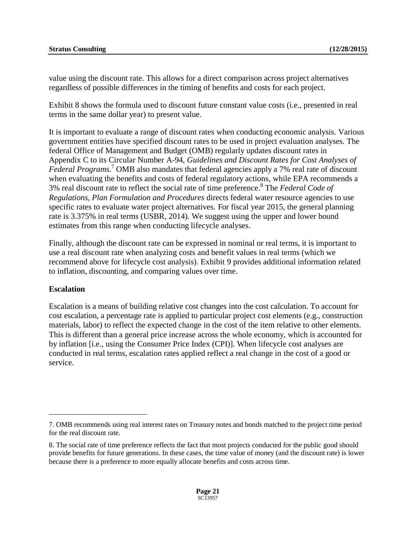value using the discount rate. This allows for a direct comparison across project alternatives regardless of possible differences in the timing of benefits and costs for each project.

Exhibit 8 shows the formula used to discount future constant value costs (i.e., presented in real terms in the same dollar year) to present value.

It is important to evaluate a range of discount rates when conducting economic analysis. Various government entities have specified discount rates to be used in project evaluation analyses. The federal Office of Management and Budget (OMB) regularly updates discount rates in Appendix C to its Circular Number A-94, *Guidelines and Discount Rates for Cost Analyses of Federal Programs.* <sup>7</sup> OMB also mandates that federal agencies apply a 7% real rate of discount when evaluating the benefits and costs of federal regulatory actions, while EPA recommends a 3% real discount rate to reflect the social rate of time preference. 8 The *Federal Code of Regulations, Plan Formulation and Procedures* directs federal water resource agencies to use specific rates to evaluate water project alternatives. For fiscal year 2015, the general planning rate is 3.375% in real terms (USBR, 2014). We suggest using the upper and lower bound estimates from this range when conducting lifecycle analyses.

Finally, although the discount rate can be expressed in nominal or real terms, it is important to use a real discount rate when analyzing costs and benefit values in real terms (which we recommend above for lifecycle cost analysis). Exhibit 9 provides additional information related to inflation, discounting, and comparing values over time.

#### **Escalation**

 $\overline{a}$ 

Escalation is a means of building relative cost changes into the cost calculation. To account for cost escalation, a percentage rate is applied to particular project cost elements (e.g., construction materials, labor) to reflect the expected change in the cost of the item relative to other elements. This is different than a general price increase across the whole economy, which is accounted for by inflation [i.e., using the Consumer Price Index (CPI)]. When lifecycle cost analyses are conducted in real terms, escalation rates applied reflect a real change in the cost of a good or service.

<sup>7.</sup> OMB recommends using real interest rates on Treasury notes and bonds matched to the project time period for the real discount rate.

<sup>8.</sup> The social rate of time preference reflects the fact that most projects conducted for the public good should provide benefits for future generations. In these cases, the time value of money (and the discount rate) is lower because there is a preference to more equally allocate benefits and costs across time.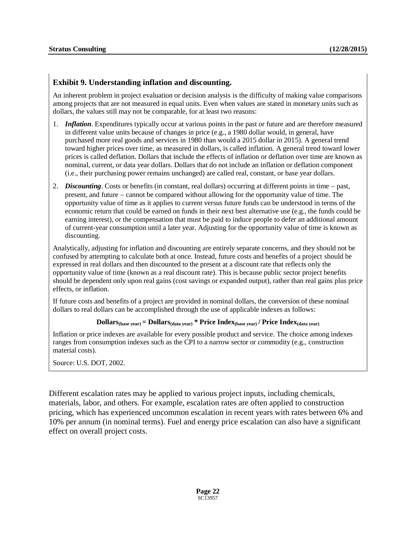#### **Exhibit 9. Understanding inflation and discounting.**

An inherent problem in project evaluation or decision analysis is the difficulty of making value comparisons among projects that are not measured in equal units. Even when values are stated in monetary units such as dollars, the values still may not be comparable, for at least two reasons:

- 1. *Inflation*. Expenditures typically occur at various points in the past or future and are therefore measured in different value units because of changes in price (e.g., a 1980 dollar would, in general, have purchased more real goods and services in 1980 than would a 2015 dollar in 2015). A general trend toward higher prices over time, as measured in dollars, is called inflation. A general trend toward lower prices is called deflation. Dollars that include the effects of inflation or deflation over time are known as nominal, current, or data year dollars. Dollars that do not include an inflation or deflation component (i.e., their purchasing power remains unchanged) are called real, constant, or base year dollars.
- 2. *Discounting*. Costs or benefits (in constant, real dollars) occurring at different points in time past, present, and future cannot be compared without allowing for the opportunity value of time. The opportunity value of time as it applies to current versus future funds can be understood in terms of the economic return that could be earned on funds in their next best alternative use (e.g., the funds could be earning interest), or the compensation that must be paid to induce people to defer an additional amount of current-year consumption until a later year. Adjusting for the opportunity value of time is known as discounting.

Analytically, adjusting for inflation and discounting are entirely separate concerns, and they should not be confused by attempting to calculate both at once. Instead, future costs and benefits of a project should be expressed in real dollars and then discounted to the present at a discount rate that reflects only the opportunity value of time (known as a real discount rate). This is because public sector project benefits should be dependent only upon real gains (cost savings or expanded output), rather than real gains plus price effects, or inflation.

If future costs and benefits of a project are provided in nominal dollars, the conversion of these nominal dollars to real dollars can be accomplished through the use of applicable indexes as follows:

#### **Dollars**<sub>(base year)</sub>  $=$  **Dollars**<sub>(data year)</sub>  $*$  **Price Index**<sub>(base year)</sub>  $/$  **Price Index**<sub>(data year)</sub>

Inflation or price indexes are available for every possible product and service. The choice among indexes ranges from consumption indexes such as the CPI to a narrow sector or commodity (e.g., construction material costs).

Source: U.S. DOT, 2002.

Different escalation rates may be applied to various project inputs, including chemicals, materials, labor, and others. For example, escalation rates are often applied to construction pricing, which has experienced uncommon escalation in recent years with rates between 6% and 10% per annum (in nominal terms). Fuel and energy price escalation can also have a significant effect on overall project costs.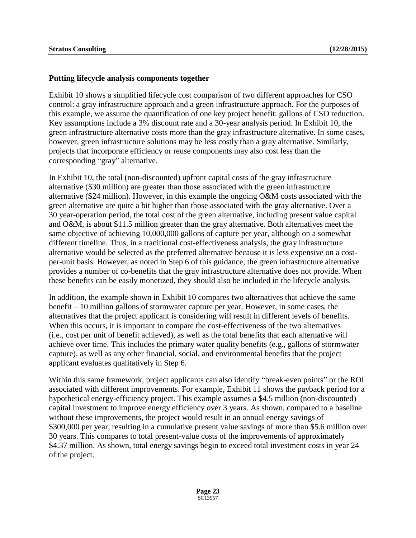#### **Putting lifecycle analysis components together**

Exhibit 10 shows a simplified lifecycle cost comparison of two different approaches for CSO control: a gray infrastructure approach and a green infrastructure approach. For the purposes of this example, we assume the quantification of one key project benefit: gallons of CSO reduction. Key assumptions include a 3% discount rate and a 30-year analysis period. In Exhibit 10, the green infrastructure alternative costs more than the gray infrastructure alternative. In some cases, however, green infrastructure solutions may be less costly than a gray alternative. Similarly, projects that incorporate efficiency or reuse components may also cost less than the corresponding "gray" alternative.

In Exhibit 10, the total (non-discounted) upfront capital costs of the gray infrastructure alternative (\$30 million) are greater than those associated with the green infrastructure alternative (\$24 million). However, in this example the ongoing O&M costs associated with the green alternative are quite a bit higher than those associated with the gray alternative. Over a 30 year-operation period, the total cost of the green alternative, including present value capital and O&M, is about \$11.5 million greater than the gray alternative. Both alternatives meet the same objective of achieving 10,000,000 gallons of capture per year, although on a somewhat different timeline. Thus, in a traditional cost-effectiveness analysis, the gray infrastructure alternative would be selected as the preferred alternative because it is less expensive on a costper-unit basis. However, as noted in Step 6 of this guidance, the green infrastructure alternative provides a number of co-benefits that the gray infrastructure alternative does not provide. When these benefits can be easily monetized, they should also be included in the lifecycle analysis.

In addition, the example shown in Exhibit 10 compares two alternatives that achieve the same benefit – 10 million gallons of stormwater capture per year. However, in some cases, the alternatives that the project applicant is considering will result in different levels of benefits. When this occurs, it is important to compare the cost-effectiveness of the two alternatives (i.e., cost per unit of benefit achieved), as well as the total benefits that each alternative will achieve over time. This includes the primary water quality benefits (e.g., gallons of stormwater capture), as well as any other financial, social, and environmental benefits that the project applicant evaluates qualitatively in Step 6.

Within this same framework, project applicants can also identify "break-even points" or the ROI associated with different improvements. For example, Exhibit 11 shows the payback period for a hypothetical energy-efficiency project. This example assumes a \$4.5 million (non-discounted) capital investment to improve energy efficiency over 3 years. As shown, compared to a baseline without these improvements, the project would result in an annual energy savings of \$300,000 per year, resulting in a cumulative present value savings of more than \$5.6 million over 30 years. This compares to total present-value costs of the improvements of approximately \$4.37 million. As shown, total energy savings begin to exceed total investment costs in year 24 of the project.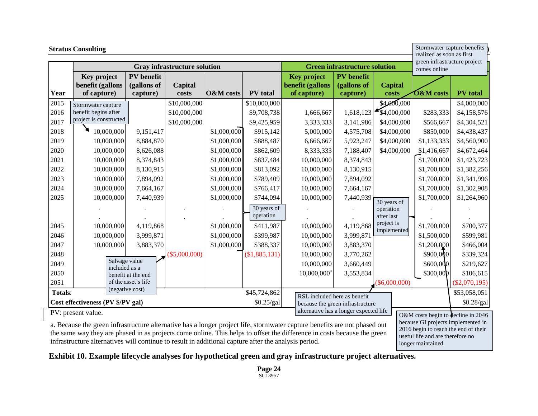|                                                 | <b>Stratus Consulting</b>                      |                                              |                  |                      |                                  |                                                       | realized as soon as first                    | Stormwater capture benefits |                                              |                                                                          |
|-------------------------------------------------|------------------------------------------------|----------------------------------------------|------------------|----------------------|----------------------------------|-------------------------------------------------------|----------------------------------------------|-----------------------------|----------------------------------------------|--------------------------------------------------------------------------|
|                                                 | <b>Gray infrastructure solution</b>            |                                              |                  |                      |                                  | <b>Green infrastructure solution</b>                  |                                              |                             | green infrastructure project<br>comes online |                                                                          |
| Year                                            | Key project<br>benefit (gallons<br>of capture) | <b>PV</b> benefit<br>(gallons of<br>capture) | Capital<br>costs | <b>O&amp;M</b> costs | PV total                         | <b>Key project</b><br>benefit (gallons<br>of capture) | <b>PV</b> benefit<br>(gallons of<br>capture) | <b>Capital</b><br>costs     | $6$ &M costs                                 | <b>PV</b> total                                                          |
| 2015                                            | Stormwater capture                             |                                              | \$10,000,000     |                      | \$10,000,000                     |                                                       |                                              | \$4,000,000                 |                                              | \$4,000,000                                                              |
| 2016                                            | benefit begins after                           |                                              | \$10,000,000     |                      | \$9,708,738                      | 1,666,667                                             | 1,618,123                                    | 54,000,000                  | \$283,333                                    | \$4,158,576                                                              |
| 2017                                            | project is constructed                         |                                              | \$10,000,000     |                      | \$9,425,959                      | 3,333,333                                             | 3,141,986                                    | \$4,000,000                 | \$566,667                                    | \$4,304,521                                                              |
| 2018                                            | 10,000,000                                     | 9,151,417                                    |                  | \$1,000,000          | \$915,142                        | 5,000,000                                             | 4,575,708                                    | \$4,000,000                 | \$850,000                                    | \$4,438,437                                                              |
| 2019                                            | 10,000,000                                     | 8,884,870                                    |                  | \$1,000,000          | \$888,487                        | 6,666,667                                             | 5,923,247                                    | \$4,000,000                 | \$1,133,333                                  | \$4,560,900                                                              |
| 2020                                            | 10,000,000                                     | 8,626,088                                    |                  | \$1,000,000          | \$862,609                        | 8,333,333                                             | 7,188,407                                    | \$4,000,000                 | \$1,416,667                                  | \$4,672,464                                                              |
| 2021                                            | 10,000,000                                     | 8,374,843                                    |                  | \$1,000,000          | \$837,484                        | 10,000,000                                            | 8,374,843                                    |                             | \$1,700,000                                  | \$1,423,723                                                              |
| 2022                                            | 10,000,000                                     | 8,130,915                                    |                  | \$1,000,000          | \$813,092                        | 10,000,000                                            | 8,130,915                                    |                             | \$1,700,000                                  | \$1,382,256                                                              |
| 2023                                            | 10,000,000                                     | 7,894,092                                    |                  | \$1,000,000          | \$789,409                        | 10,000,000                                            | 7,894,092                                    |                             | \$1,700,000                                  | \$1,341,996                                                              |
| 2024                                            | 10,000,000                                     | 7,664,167                                    |                  | \$1,000,000          | \$766,417                        | 10,000,000                                            | 7,664,167                                    |                             | \$1,700,000                                  | \$1,302,908                                                              |
| 2025                                            | 10,000,000                                     | 7,440,939                                    |                  | \$1,000,000          | \$744,094                        | 10,000,000                                            | 7,440,939                                    | 30 years of                 | \$1,700,000                                  | \$1,264,960                                                              |
|                                                 |                                                |                                              |                  |                      | 30 years of<br>operation         |                                                       |                                              | operation<br>after last     |                                              |                                                                          |
| 2045                                            | 10,000,000                                     | 4,119,868                                    |                  | \$1,000,000          | \$411,987                        | 10,000,000                                            | 4,119,868                                    | project is<br>implemented   | \$1,700,000                                  | \$700,377                                                                |
| 2046                                            | 10,000,000                                     | 3,999,871                                    |                  | \$1,000,000          | \$399,987                        | 10,000,000                                            | 3,999,871                                    |                             | \$1,500,000                                  | \$599,981                                                                |
| 2047                                            | 10,000,000                                     | 3,883,370                                    |                  | \$1,000,000          | \$388,337                        | 10,000,000                                            | 3,883,370                                    |                             | \$1,200,000                                  | \$466,004                                                                |
| 2048                                            |                                                |                                              | $(\$5,000,000)$  |                      | (\$1,885,131)                    | 10,000,000                                            | 3,770,262                                    |                             | \$900,000                                    | \$339,324                                                                |
| 2049                                            | Salvage value<br>included as a                 |                                              |                  |                      |                                  | 10,000,000                                            | 3,660,449                                    |                             | \$600,000                                    | \$219,627                                                                |
| 2050                                            |                                                | benefit at the end                           |                  |                      |                                  | $10,000,000$ <sup>a</sup>                             | 3,553,834                                    |                             | \$300,000                                    | \$106,615                                                                |
| 2051                                            |                                                | of the asset's life                          |                  |                      |                                  |                                                       |                                              | $($ \$6,000,000)            |                                              | $(\$2,070,195)$                                                          |
| <b>Totals:</b>                                  |                                                | (negative cost)                              |                  |                      | \$45,724,862                     | RSL included here as benefit                          |                                              |                             |                                              | \$53,058,051                                                             |
| Cost effectiveness (PV \$/PV gal)<br>\$0.25/gal |                                                |                                              |                  |                      | because the green infrastructure |                                                       |                                              | $0.28/gal$                  |                                              |                                                                          |
|                                                 | PV: present value.                             |                                              |                  |                      |                                  |                                                       | alternative has a longer expected life       |                             |                                              | O&M costs begin to decline in 2046<br>hecause GI projects implemented in |

a. Because the green infrastructure alternative has a longer project life, stormwater capture benefits are not phased out the same way they are phased in as projects come online. This helps to offset the difference in costs because the green infrastructure alternatives will continue to result in additional capture after the analysis period.

because GI projects implemented in 2016 begin to reach the end of their useful life and are therefore no longer maintained.

#### **Exhibit 10. Example lifecycle analyses for hypothetical green and gray infrastructure project alternatives.**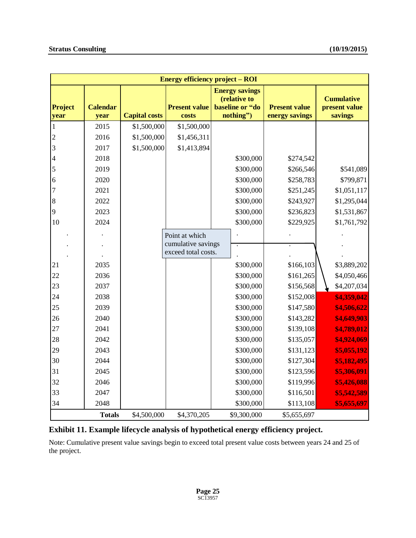| <b>Energy efficiency project – ROI</b> |                         |                                                       |                     |                                                                       |                                        |                                               |  |
|----------------------------------------|-------------------------|-------------------------------------------------------|---------------------|-----------------------------------------------------------------------|----------------------------------------|-----------------------------------------------|--|
| <b>Project</b><br>year                 | <b>Calendar</b><br>year | <b>Present value</b><br><b>Capital costs</b><br>costs |                     | <b>Energy savings</b><br>(relative to<br>baseline or "do<br>nothing") | <b>Present value</b><br>energy savings | <b>Cumulative</b><br>present value<br>savings |  |
| 1                                      | 2015                    | \$1,500,000                                           | \$1,500,000         |                                                                       |                                        |                                               |  |
| $\overline{c}$                         | 2016                    | \$1,500,000                                           | \$1,456,311         |                                                                       |                                        |                                               |  |
| 3                                      | 2017                    | \$1,500,000                                           | \$1,413,894         |                                                                       |                                        |                                               |  |
| 4                                      | 2018                    |                                                       |                     | \$300,000                                                             | \$274,542                              |                                               |  |
| 5                                      | 2019                    |                                                       |                     | \$300,000                                                             | \$266,546                              | \$541,089                                     |  |
| 6                                      | 2020                    |                                                       |                     | \$300,000                                                             | \$258,783                              | \$799,871                                     |  |
| 7                                      | 2021                    |                                                       |                     | \$300,000                                                             | \$251,245                              | \$1,051,117                                   |  |
| 8                                      | 2022                    |                                                       |                     | \$300,000                                                             | \$243,927                              | \$1,295,044                                   |  |
| 9                                      | 2023                    |                                                       |                     | \$300,000                                                             | \$236,823                              | \$1,531,867                                   |  |
| 10                                     | 2024                    |                                                       |                     | \$300,000                                                             | \$229,925                              | \$1,761,792                                   |  |
|                                        |                         |                                                       | Point at which      |                                                                       |                                        |                                               |  |
|                                        |                         |                                                       | cumulative savings  |                                                                       |                                        |                                               |  |
|                                        |                         |                                                       | exceed total costs. |                                                                       |                                        |                                               |  |
| 21                                     | 2035                    |                                                       |                     | \$300,000                                                             | \$166,103                              | \$3,889,202                                   |  |
| 22                                     | 2036                    |                                                       |                     | \$300,000                                                             | \$161,265                              | \$4,050,466                                   |  |
| 23                                     | 2037                    |                                                       |                     | \$300,000                                                             | \$156,568                              | \$4,207,034                                   |  |
| 24                                     | 2038                    |                                                       |                     | \$300,000                                                             | \$152,008                              | \$4,359,042                                   |  |
| 25                                     | 2039                    |                                                       |                     | \$300,000                                                             | \$147,580                              | \$4,506,622                                   |  |
| 26                                     | 2040                    |                                                       |                     | \$300,000                                                             | \$143,282                              | \$4,649,903                                   |  |
| 27                                     | 2041                    |                                                       |                     | \$300,000                                                             | \$139,108                              | \$4,789,012                                   |  |
| 28                                     | 2042                    |                                                       |                     | \$300,000                                                             | \$135,057                              | \$4,924,069                                   |  |
| 29                                     | 2043                    |                                                       |                     | \$300,000                                                             | \$131,123                              | \$5,055,192                                   |  |
| 30                                     | 2044                    |                                                       |                     | \$300,000                                                             | \$127,304                              | \$5,182,495                                   |  |
| 31                                     | 2045                    |                                                       |                     | \$300,000                                                             | \$123,596                              | \$5,306,091                                   |  |
| 32                                     | 2046                    |                                                       |                     | \$300,000                                                             | \$119,996                              | \$5,426,088                                   |  |
| 33                                     | 2047                    |                                                       |                     | \$300,000                                                             | \$116,501                              | \$5,542,589                                   |  |
| 34                                     | 2048                    |                                                       |                     | \$300,000                                                             | \$113,108                              | \$5,655,697                                   |  |
|                                        | <b>Totals</b>           | \$4,500,000                                           | \$4,370,205         | \$9,300,000                                                           | \$5,655,697                            |                                               |  |

#### **Exhibit 11. Example lifecycle analysis of hypothetical energy efficiency project.**

Note: Cumulative present value savings begin to exceed total present value costs between years 24 and 25 of the project.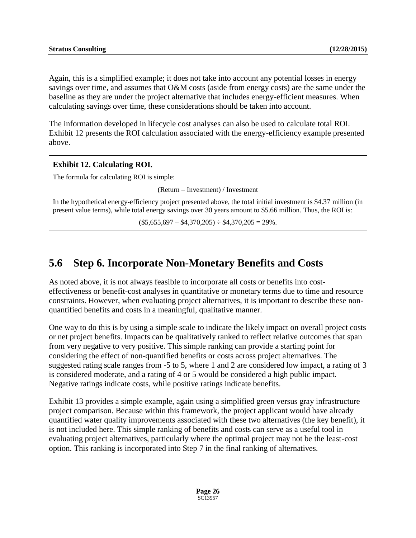Again, this is a simplified example; it does not take into account any potential losses in energy savings over time, and assumes that O&M costs (aside from energy costs) are the same under the baseline as they are under the project alternative that includes energy-efficient measures. When calculating savings over time, these considerations should be taken into account.

The information developed in lifecycle cost analyses can also be used to calculate total ROI. Exhibit 12 presents the ROI calculation associated with the energy-efficiency example presented above.

#### **Exhibit 12. Calculating ROI.**

The formula for calculating ROI is simple:

(Return – Investment) / Investment

In the hypothetical energy-efficiency project presented above, the total initial investment is \$4.37 million (in present value terms), while total energy savings over 30 years amount to \$5.66 million. Thus, the ROI is:

 $($5,655,697 - $4,370,205) \div $4,370,205 = 29\%$ .

## **5.6 Step 6. Incorporate Non-Monetary Benefits and Costs**

As noted above, it is not always feasible to incorporate all costs or benefits into costeffectiveness or benefit-cost analyses in quantitative or monetary terms due to time and resource constraints. However, when evaluating project alternatives, it is important to describe these nonquantified benefits and costs in a meaningful, qualitative manner.

One way to do this is by using a simple scale to indicate the likely impact on overall project costs or net project benefits. Impacts can be qualitatively ranked to reflect relative outcomes that span from very negative to very positive. This simple ranking can provide a starting point for considering the effect of non-quantified benefits or costs across project alternatives. The suggested rating scale ranges from -5 to 5, where 1 and 2 are considered low impact, a rating of 3 is considered moderate, and a rating of 4 or 5 would be considered a high public impact. Negative ratings indicate costs, while positive ratings indicate benefits.

Exhibit 13 provides a simple example, again using a simplified green versus gray infrastructure project comparison. Because within this framework, the project applicant would have already quantified water quality improvements associated with these two alternatives (the key benefit), it is not included here. This simple ranking of benefits and costs can serve as a useful tool in evaluating project alternatives, particularly where the optimal project may not be the least-cost option. This ranking is incorporated into Step 7 in the final ranking of alternatives.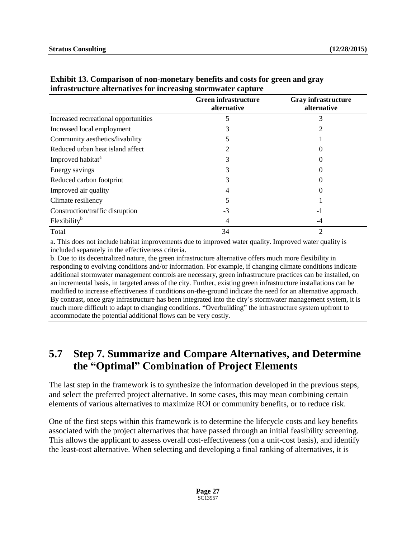|                                      | <b>Green infrastructure</b><br>alternative | <b>Gray infrastructure</b><br>alternative |
|--------------------------------------|--------------------------------------------|-------------------------------------------|
| Increased recreational opportunities |                                            | 3                                         |
| Increased local employment           |                                            |                                           |
| Community aesthetics/livability      |                                            |                                           |
| Reduced urban heat island affect     |                                            |                                           |
| Improved habitat <sup>a</sup>        |                                            |                                           |
| Energy savings                       |                                            |                                           |
| Reduced carbon footprint             |                                            |                                           |
| Improved air quality                 |                                            |                                           |
| Climate resiliency                   |                                            |                                           |
| Construction/traffic disruption      | -3                                         | -1                                        |
| Flexibility <sup>b</sup>             |                                            | -4                                        |
| Total                                | 34                                         | 2                                         |

#### **Exhibit 13. Comparison of non-monetary benefits and costs for green and gray infrastructure alternatives for increasing stormwater capture**

a. This does not include habitat improvements due to improved water quality. Improved water quality is included separately in the effectiveness criteria.

b. Due to its decentralized nature, the green infrastructure alternative offers much more flexibility in responding to evolving conditions and/or information. For example, if changing climate conditions indicate additional stormwater management controls are necessary, green infrastructure practices can be installed, on an incremental basis, in targeted areas of the city. Further, existing green infrastructure installations can be modified to increase effectiveness if conditions on-the-ground indicate the need for an alternative approach. By contrast, once gray infrastructure has been integrated into the city's stormwater management system, it is much more difficult to adapt to changing conditions. "Overbuilding" the infrastructure system upfront to accommodate the potential additional flows can be very costly.

## **5.7 Step 7. Summarize and Compare Alternatives, and Determine the "Optimal" Combination of Project Elements**

The last step in the framework is to synthesize the information developed in the previous steps, and select the preferred project alternative. In some cases, this may mean combining certain elements of various alternatives to maximize ROI or community benefits, or to reduce risk.

One of the first steps within this framework is to determine the lifecycle costs and key benefits associated with the project alternatives that have passed through an initial feasibility screening. This allows the applicant to assess overall cost-effectiveness (on a unit-cost basis), and identify the least-cost alternative. When selecting and developing a final ranking of alternatives, it is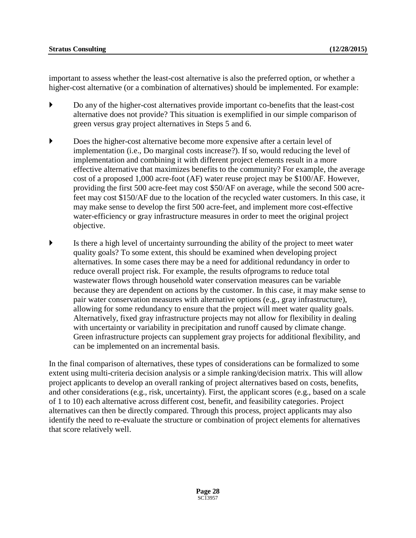important to assess whether the least-cost alternative is also the preferred option, or whether a higher-cost alternative (or a combination of alternatives) should be implemented. For example:

- Do any of the higher-cost alternatives provide important co-benefits that the least-cost alternative does not provide? This situation is exemplified in our simple comparison of green versus gray project alternatives in Steps 5 and 6.
- Does the higher-cost alternative become more expensive after a certain level of implementation (i.e., Do marginal costs increase?). If so, would reducing the level of implementation and combining it with different project elements result in a more effective alternative that maximizes benefits to the community? For example, the average cost of a proposed 1,000 acre-foot (AF) water reuse project may be \$100/AF. However, providing the first 500 acre-feet may cost \$50/AF on average, while the second 500 acrefeet may cost \$150/AF due to the location of the recycled water customers. In this case, it may make sense to develop the first 500 acre-feet, and implement more cost-effective water-efficiency or gray infrastructure measures in order to meet the original project objective.
- Is there a high level of uncertainty surrounding the ability of the project to meet water quality goals? To some extent, this should be examined when developing project alternatives. In some cases there may be a need for additional redundancy in order to reduce overall project risk. For example, the results ofprograms to reduce total wastewater flows through household water conservation measures can be variable because they are dependent on actions by the customer. In this case, it may make sense to pair water conservation measures with alternative options (e.g., gray infrastructure), allowing for some redundancy to ensure that the project will meet water quality goals. Alternatively, fixed gray infrastructure projects may not allow for flexibility in dealing with uncertainty or variability in precipitation and runoff caused by climate change. Green infrastructure projects can supplement gray projects for additional flexibility, and can be implemented on an incremental basis.

In the final comparison of alternatives, these types of considerations can be formalized to some extent using multi-criteria decision analysis or a simple ranking/decision matrix. This will allow project applicants to develop an overall ranking of project alternatives based on costs, benefits, and other considerations (e.g., risk, uncertainty). First, the applicant scores (e.g., based on a scale of 1 to 10) each alternative across different cost, benefit, and feasibility categories. Project alternatives can then be directly compared. Through this process, project applicants may also identify the need to re-evaluate the structure or combination of project elements for alternatives that score relatively well.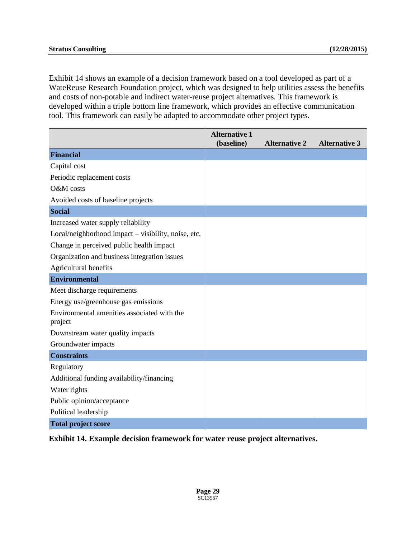Exhibit 14 shows an example of a decision framework based on a tool developed as part of a WateReuse Research Foundation project, which was designed to help utilities assess the benefits and costs of non-potable and indirect water-reuse project alternatives. This framework is developed within a triple bottom line framework, which provides an effective communication tool. This framework can easily be adapted to accommodate other project types.

|                                                        | <b>Alternative 1</b><br>(baseline) | <b>Alternative 2</b> | <b>Alternative 3</b> |
|--------------------------------------------------------|------------------------------------|----------------------|----------------------|
| <b>Financial</b>                                       |                                    |                      |                      |
| Capital cost                                           |                                    |                      |                      |
| Periodic replacement costs                             |                                    |                      |                      |
| O&M costs                                              |                                    |                      |                      |
| Avoided costs of baseline projects                     |                                    |                      |                      |
| <b>Social</b>                                          |                                    |                      |                      |
| Increased water supply reliability                     |                                    |                      |                      |
| Local/neighborhood impact - visibility, noise, etc.    |                                    |                      |                      |
| Change in perceived public health impact               |                                    |                      |                      |
| Organization and business integration issues           |                                    |                      |                      |
| Agricultural benefits                                  |                                    |                      |                      |
| <b>Environmental</b>                                   |                                    |                      |                      |
| Meet discharge requirements                            |                                    |                      |                      |
| Energy use/greenhouse gas emissions                    |                                    |                      |                      |
| Environmental amenities associated with the<br>project |                                    |                      |                      |
| Downstream water quality impacts                       |                                    |                      |                      |
| Groundwater impacts                                    |                                    |                      |                      |
| <b>Constraints</b>                                     |                                    |                      |                      |
| Regulatory                                             |                                    |                      |                      |
| Additional funding availability/financing              |                                    |                      |                      |
| Water rights                                           |                                    |                      |                      |
| Public opinion/acceptance                              |                                    |                      |                      |
| Political leadership                                   |                                    |                      |                      |
| <b>Total project score</b>                             |                                    |                      |                      |

**Exhibit 14. Example decision framework for water reuse project alternatives.**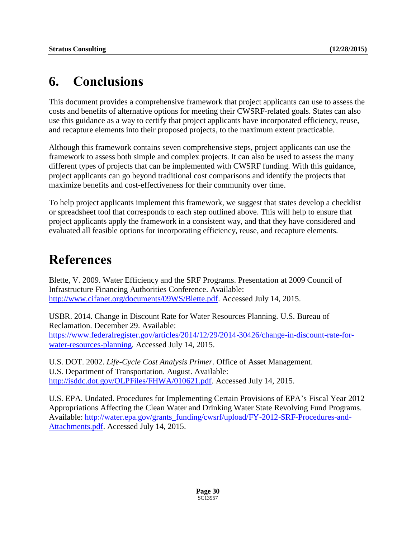## **6. Conclusions**

This document provides a comprehensive framework that project applicants can use to assess the costs and benefits of alternative options for meeting their CWSRF-related goals. States can also use this guidance as a way to certify that project applicants have incorporated efficiency, reuse, and recapture elements into their proposed projects, to the maximum extent practicable.

Although this framework contains seven comprehensive steps, project applicants can use the framework to assess both simple and complex projects. It can also be used to assess the many different types of projects that can be implemented with CWSRF funding. With this guidance, project applicants can go beyond traditional cost comparisons and identify the projects that maximize benefits and cost-effectiveness for their community over time.

To help project applicants implement this framework, we suggest that states develop a checklist or spreadsheet tool that corresponds to each step outlined above. This will help to ensure that project applicants apply the framework in a consistent way, and that they have considered and evaluated all feasible options for incorporating efficiency, reuse, and recapture elements.

## **References**

Blette, V. 2009. Water Efficiency and the SRF Programs. Presentation at 2009 Council of Infrastructure Financing Authorities Conference. Available: [http://www.cifanet.org/documents/09WS/Blette.pdf.](http://www.cifanet.org/documents/09WS/Blette.pdf) Accessed July 14, 2015.

USBR. 2014. Change in Discount Rate for Water Resources Planning. U.S. Bureau of Reclamation. December 29. Available: [https://www.federalregister.gov/articles/2014/12/29/2014-30426/change-in-discount-rate-for](https://www.federalregister.gov/articles/2014/12/29/2014-30426/change-in-discount-rate-for-water-resources-planning)[water-resources-planning.](https://www.federalregister.gov/articles/2014/12/29/2014-30426/change-in-discount-rate-for-water-resources-planning) Accessed July 14, 2015.

U.S. DOT. 2002. *Life-Cycle Cost Analysis Primer*. Office of Asset Management. U.S. Department of Transportation. August. Available: [http://isddc.dot.gov/OLPFiles/FHWA/010621.pdf.](http://isddc.dot.gov/OLPFiles/FHWA/010621.pdf) Accessed July 14, 2015.

U.S. EPA. Undated. Procedures for Implementing Certain Provisions of EPA's Fiscal Year 2012 Appropriations Affecting the Clean Water and Drinking Water State Revolving Fund Programs. Available: [http://water.epa.gov/grants\\_funding/cwsrf/upload/FY-2012-SRF-Procedures-and-](http://water.epa.gov/grants_funding/cwsrf/upload/FY-2012-SRF-Procedures-and-Attachments.pdf)[Attachments.pdf.](http://water.epa.gov/grants_funding/cwsrf/upload/FY-2012-SRF-Procedures-and-Attachments.pdf) Accessed July 14, 2015.